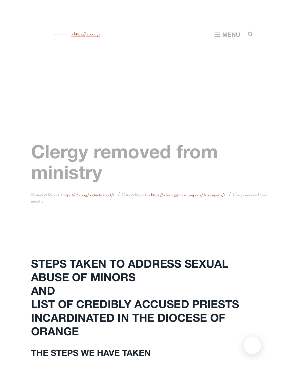# **Clergy removed from ministry**

Protect & Report < https://rcbo.org/protect-report/> / Data & Reports < https://rcbo.org/protect-reports/data-reports/> / Clergy removed from ministry

## **STEPS TAKEN TO ADDRESS SEXUAL ABUSE OF MINORS AND LIST OF CREDIBLY ACCUSED PRIESTS INCARDINATED IN THE DIOCESE OF ORANGE**

**THE STEPS WE HAVE TAKEN**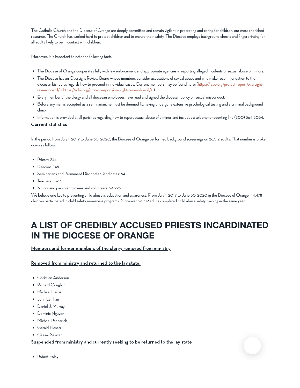The Catholic Church and the Diocese of Orange are deeply committed and remain vigilant in protecting and caring for children, our most cherished resource. The Church has worked hard to protect children and to ensure their safety. The Diocese employs background checks and fingerprinting for all adults likely to be in contact with children.

Moreover, it is important to note the following facts:

- The Diocese of Orange cooperates fully with law enforcement and appropriate agencies in reporting alleged incidents of sexual abuse of minors.
- The Diocese has an Oversight Review Board whose members consider accusations of sexual abuse and who make recommendation to the diocesan bishop as regards how to proceed in individual cases. Current members may be found here: (https://rcbo.org/protect-report/oversightreview-board/ < https://rcbo.org/protect-report/oversight-review-board/>)
- Every member of the clergyand all diocesan employeeshave read and signed the diocesan policy onsexual misconduct.
- Before any man is accepted as a seminarian, he must be deemed fit, having undergone extensive psychological testing and a criminal background check.
- Information is provided at all parishes regarding how to report sexual abuse of a minor and includes a telephone reporting line (800) 364-3064.

#### Current statistics

In the period from July 1, 2019 to June 30, 2020, the Diocese of Orange performed background screenings on 26,512 adults. That number is broken downas follows:

- $\bullet$  Priests: 244
- Deacons: 148
- Seminariansand Permanent Diaconate Candidates: 64
- Teachers: 1,763
- School and parish employees and volunteers: 24,293

We believe one key to preventing child abuse is education and awareness. From July 1, 2019 to June 30, 2020 in the Diocese of Orange, 44,478 children participated inchild safetyawareness programs. Moreover, 26,512 adults completed child abuse safety training inthe same year.

## **A LIST OF CREDIBLY ACCUSED PRIESTS INCARDINATED IN THE DIOCESE OF ORANGE**

Members and former members of the clergy removed from ministry

Removed from ministry and returned to the lay state:

- Christian Anderson
- Richard Coughlin
- Michael Harris
- John Lenihan
- Daniel J. Murray
- Dominic Nguyen
- Michael Pecharich
- Gerald Plesetz
- Caesar Salazar

### Suspended from ministry and currently seeking to be returned to the lay state

• Robert Foley

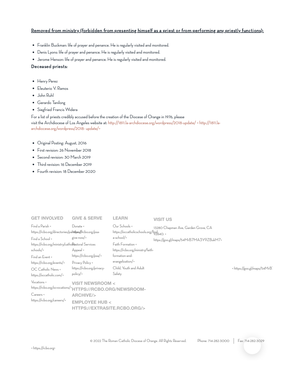## Removed from ministry (forbidden from presenting himself as a priest or from performing any priestly functions):

- Franklin Buckman: life of prayerand penance. He is regularly visited and monitored.
- Denis Lyons: life of prayer and penance. He is regularly visited and monitored.
- Jerome Henson: life of prayer and penance. He is regularly visited and monitored.

## Deceased priests:

- Henry Perez
- Eleuterio V. Ramos
- John Ruhl
- Gerardo Tanilong
- Siegfried Francis Widera

For a list of priests credibly accused before the creation of the Diocese of Orange in 1976, please visit the Archdiocese of Los Angeles website at: http://1811.la-archdiocese.org/wordpress/2018-update/ < http://1811.laarchdiocese.org/wordpress/2018-update/>

- Original Posting: August, 2016
- First revision: 26 November 2018
- Second revision: 30 March 2019
- Third revision: 16 December 2019
- Fourth revision: 18 December 2020

| <b>GET INVOLVED</b>                                                                                                                                                                                                                                            | <b>GIVE &amp; SERVE</b>                                                                                                                                                   | <b>LEARN</b>                                                                                                                                                                                                   | <b>VISIT US</b>                                                               |                             |
|----------------------------------------------------------------------------------------------------------------------------------------------------------------------------------------------------------------------------------------------------------------|---------------------------------------------------------------------------------------------------------------------------------------------------------------------------|----------------------------------------------------------------------------------------------------------------------------------------------------------------------------------------------------------------|-------------------------------------------------------------------------------|-----------------------------|
| Find a Parish <<br>https://rcbo.org/directories/pahitipss//rcbo.org/psa-<br>Find a School <<br>https://rcbo.org/ministry/catholitastoral Services<br>schools<br>Find an Event <<br>https://rcbo.org/events/><br>OC Catholic News <<br>https://occatholic.com/> | Donate <<br>give-now/ $>$<br>Appeal <<br>https://rcbo.org/psa/><br>Privacy Policy <<br>https://rcbo.org/privacy-<br>$policy$ />                                           | Our Schools <<br>https://occatholicschools.org/find-<br>2840.<br>a-school/><br>Faith Formation <<br>https://rcbo.org/ministry/faith-<br>formation-and-<br>evangelization/><br>Child. Youth and Adult<br>Safety | 13280 Chapman Ave, Garden Grove, CA<br>https://goo.gl/maps/54MrB7MA3Y9ZBukM7> | < https://goo.gl/maps/54MrB |
| Vocations <<br>Careers <<br>https://rcbo.org/careers/>                                                                                                                                                                                                         | <b>VISIT NEWSROOM &lt;</b><br>https://rcbo.org/ocvocations/>HTTPS://RCBO.ORG/NEWSROOM-<br><b>ARCHIVE/&gt;</b><br><b>EMPLOYEE HUB &lt;</b><br>HTTPS://EXTRASITE.RCBO.ORG/> |                                                                                                                                                                                                                |                                                                               |                             |

© 2022 The Roman Catholic Diocese of Orange. All Rights Reserved. Phone: [714-282-3000](tel:714-282-3000) Fax: [7](javascript:void(0);)[14-282-3029](fax:714-282-3029)

< https://rcbo.org>